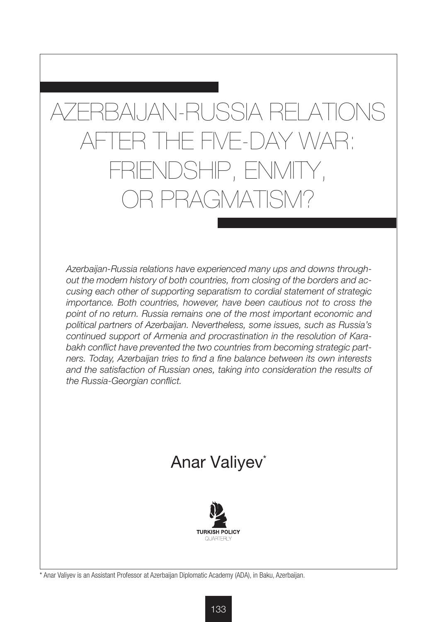# AZERBAIJAN-RUSSIA RELATIONS AFTER THE FIVE-DAY WAR: FRIENDSHIP, ENMITY, OR PRAGMATISM?

*Azerbaijan-Russia relations have experienced many ups and downs throughout the modern history of both countries, from closing of the borders and accusing each other of supporting separatism to cordial statement of strategic importance. Both countries, however, have been cautious not to cross the point of no return. Russia remains one of the most important economic and political partners of Azerbaijan. Nevertheless, some issues, such as Russia's continued support of Armenia and procrastination in the resolution of Karabakh conflict have prevented the two countries from becoming strategic partners. Today, Azerbaijan tries to find a fine balance between its own interests and the satisfaction of Russian ones, taking into consideration the results of the Russia-Georgian conflict.* 

## Anar Valiyev<sup>\*</sup>



\* Anar Valiyev is an Assistant Professor at Azerbaijan Diplomatic Academy (ADA), in Baku, Azerbaijan.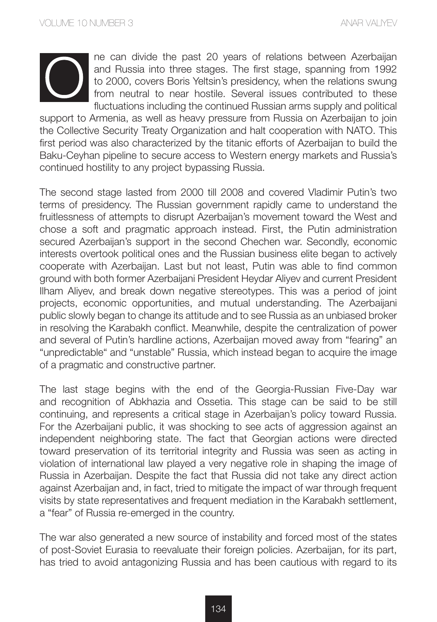

ne can divide the past 20 years of relations between Azerbaijan and Russia into three stages. The first stage, spanning from 1992 to 2000, covers Boris Yeltsin's presidency, when the relations swung from neutral to near hostile. Several issues contributed to these fluctuations including the continued Russian arms supply and political

support to Armenia, as well as heavy pressure from Russia on Azerbaijan to join the Collective Security Treaty Organization and halt cooperation with NATO. This first period was also characterized by the titanic efforts of Azerbaijan to build the Baku-Ceyhan pipeline to secure access to Western energy markets and Russia's continued hostility to any project bypassing Russia.

The second stage lasted from 2000 till 2008 and covered Vladimir Putin's two terms of presidency. The Russian government rapidly came to understand the fruitlessness of attempts to disrupt Azerbaijan's movement toward the West and chose a soft and pragmatic approach instead. First, the Putin administration secured Azerbaijan's support in the second Chechen war. Secondly, economic interests overtook political ones and the Russian business elite began to actively cooperate with Azerbaijan. Last but not least, Putin was able to find common ground with both former Azerbaijani President Heydar Aliyev and current President Ilham Aliyev, and break down negative stereotypes. This was a period of joint projects, economic opportunities, and mutual understanding. The Azerbaijani public slowly began to change its attitude and to see Russia as an unbiased broker in resolving the Karabakh conflict. Meanwhile, despite the centralization of power and several of Putin's hardline actions, Azerbaijan moved away from "fearing" an "unpredictable" and "unstable" Russia, which instead began to acquire the image of a pragmatic and constructive partner.

The last stage begins with the end of the Georgia-Russian Five-Day war and recognition of Abkhazia and Ossetia. This stage can be said to be still continuing, and represents a critical stage in Azerbaijan's policy toward Russia. For the Azerbaijani public, it was shocking to see acts of aggression against an independent neighboring state. The fact that Georgian actions were directed toward preservation of its territorial integrity and Russia was seen as acting in violation of international law played a very negative role in shaping the image of Russia in Azerbaijan. Despite the fact that Russia did not take any direct action against Azerbaijan and, in fact, tried to mitigate the impact of war through frequent visits by state representatives and frequent mediation in the Karabakh settlement, a "fear" of Russia re-emerged in the country.

The war also generated a new source of instability and forced most of the states of post-Soviet Eurasia to reevaluate their foreign policies. Azerbaijan, for its part, has tried to avoid antagonizing Russia and has been cautious with regard to its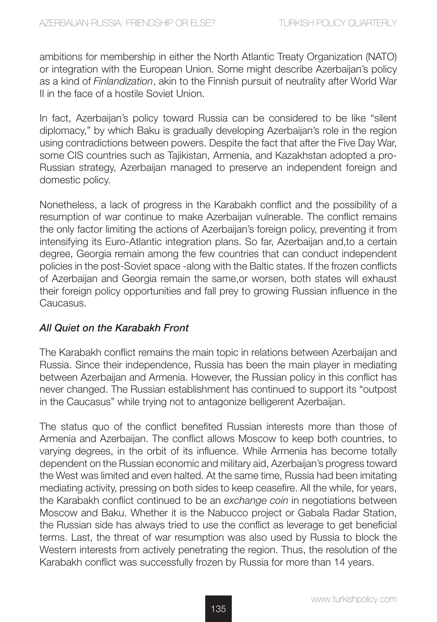ambitions for membership in either the North Atlantic Treaty Organization (NATO) or integration with the European Union. Some might describe Azerbaijan's policy as a kind of *Finlandization*, akin to the Finnish pursuit of neutrality after World War II in the face of a hostile Soviet Union.

In fact, Azerbaijan's policy toward Russia can be considered to be like "silent diplomacy," by which Baku is gradually developing Azerbaijan's role in the region using contradictions between powers. Despite the fact that after the Five Day War, some CIS countries such as Tajikistan, Armenia, and Kazakhstan adopted a pro-Russian strategy, Azerbaijan managed to preserve an independent foreign and domestic policy.

Nonetheless, a lack of progress in the Karabakh conflict and the possibility of a resumption of war continue to make Azerbaijan vulnerable. The conflict remains the only factor limiting the actions of Azerbaijan's foreign policy, preventing it from intensifying its Euro-Atlantic integration plans. So far, Azerbaijan and,to a certain degree, Georgia remain among the few countries that can conduct independent policies in the post-Soviet space -along with the Baltic states. If the frozen conflicts of Azerbaijan and Georgia remain the same,or worsen, both states will exhaust their foreign policy opportunities and fall prey to growing Russian influence in the Caucasus.

#### *All Quiet on the Karabakh Front*

The Karabakh conflict remains the main topic in relations between Azerbaijan and Russia. Since their independence, Russia has been the main player in mediating between Azerbaijan and Armenia. However, the Russian policy in this conflict has never changed. The Russian establishment has continued to support its "outpost in the Caucasus" while trying not to antagonize belligerent Azerbaijan.

The status quo of the conflict benefited Russian interests more than those of Armenia and Azerbaijan. The conflict allows Moscow to keep both countries, to varying degrees, in the orbit of its influence. While Armenia has become totally dependent on the Russian economic and military aid, Azerbaijan's progress toward the West was limited and even halted. At the same time, Russia had been imitating mediating activity, pressing on both sides to keep ceasefire. All the while, for years, the Karabakh conflict continued to be an *exchange coin* in negotiations between Moscow and Baku. Whether it is the Nabucco project or Gabala Radar Station, the Russian side has always tried to use the conflict as leverage to get beneficial terms. Last, the threat of war resumption was also used by Russia to block the Western interests from actively penetrating the region. Thus, the resolution of the Karabakh conflict was successfully frozen by Russia for more than 14 years.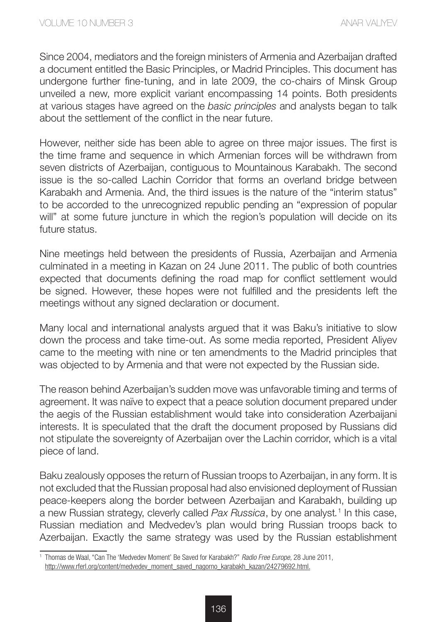Since 2004, mediators and the foreign ministers of Armenia and Azerbaijan drafted a document entitled the Basic Principles, or Madrid Principles. This document has undergone further fine-tuning, and in late 2009, the co-chairs of Minsk Group unveiled a new, more explicit variant encompassing 14 points. Both presidents at various stages have agreed on the *basic principles* and analysts began to talk about the settlement of the conflict in the near future.

However, neither side has been able to agree on three major issues. The first is the time frame and sequence in which Armenian forces will be withdrawn from seven districts of Azerbaijan, contiguous to Mountainous Karabakh. The second issue is the so-called Lachin Corridor that forms an overland bridge between Karabakh and Armenia. And, the third issues is the nature of the "interim status" to be accorded to the unrecognized republic pending an "expression of popular will" at some future juncture in which the region's population will decide on its future status.

Nine meetings held between the presidents of Russia, Azerbaijan and Armenia culminated in a meeting in Kazan on 24 June 2011. The public of both countries expected that documents defining the road map for conflict settlement would be signed. However, these hopes were not fulfilled and the presidents left the meetings without any signed declaration or document.

Many local and international analysts argued that it was Baku's initiative to slow down the process and take time-out. As some media reported, President Aliyev came to the meeting with nine or ten amendments to the Madrid principles that was objected to by Armenia and that were not expected by the Russian side.

The reason behind Azerbaijan's sudden move was unfavorable timing and terms of agreement. It was naïve to expect that a peace solution document prepared under the aegis of the Russian establishment would take into consideration Azerbaijani interests. It is speculated that the draft the document proposed by Russians did not stipulate the sovereignty of Azerbaijan over the Lachin corridor, which is a vital piece of land.

Baku zealously opposes the return of Russian troops to Azerbaijan, in any form. It is not excluded that the Russian proposal had also envisioned deployment of Russian peace-keepers along the border between Azerbaijan and Karabakh, building up a new Russian strategy, cleverly called *Pax Russica*, by one analyst*.* <sup>1</sup> In this case, Russian mediation and Medvedev's plan would bring Russian troops back to Azerbaijan. Exactly the same strategy was used by the Russian establishment

<sup>1</sup> Thomas de Waal, "Can The 'Medvedev Moment' Be Saved for Karabakh?" *Radio Free Europe,* 28 June 2011, http://www.rferl.org/content/medvedev\_moment\_saved\_nagorno\_karabakh\_kazan/24279692.html.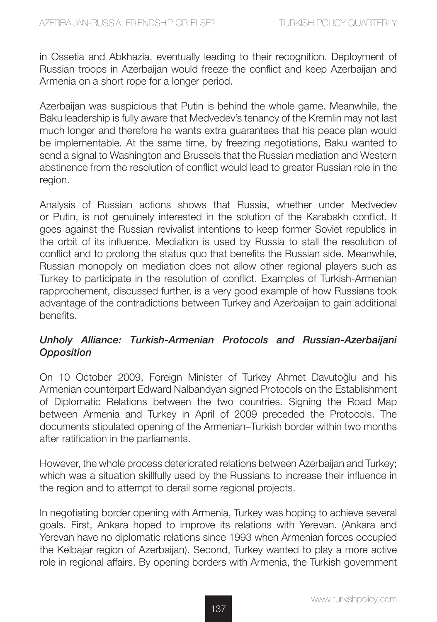in Ossetia and Abkhazia, eventually leading to their recognition. Deployment of Russian troops in Azerbaijan would freeze the conflict and keep Azerbaijan and Armenia on a short rope for a longer period.

Azerbaijan was suspicious that Putin is behind the whole game. Meanwhile, the Baku leadership is fully aware that Medvedev's tenancy of the Kremlin may not last much longer and therefore he wants extra guarantees that his peace plan would be implementable. At the same time, by freezing negotiations, Baku wanted to send a signal to Washington and Brussels that the Russian mediation and Western abstinence from the resolution of conflict would lead to greater Russian role in the region.

Analysis of Russian actions shows that Russia, whether under Medvedev or Putin, is not genuinely interested in the solution of the Karabakh conflict. It goes against the Russian revivalist intentions to keep former Soviet republics in the orbit of its influence. Mediation is used by Russia to stall the resolution of conflict and to prolong the status quo that benefits the Russian side. Meanwhile, Russian monopoly on mediation does not allow other regional players such as Turkey to participate in the resolution of conflict. Examples of Turkish-Armenian rapprochement, discussed further, is a very good example of how Russians took advantage of the contradictions between Turkey and Azerbaijan to gain additional benefits.

### *Unholy Alliance: Turkish-Armenian Protocols and Russian-Azerbaijani Opposition*

On 10 October 2009, Foreign Minister of Turkey Ahmet Davutoğlu and his Armenian counterpart Edward Nalbandyan signed Protocols on the Establishment of Diplomatic Relations between the two countries. Signing the Road Map between Armenia and Turkey in April of 2009 preceded the Protocols. The documents stipulated opening of the Armenian–Turkish border within two months after ratification in the parliaments.

However, the whole process deteriorated relations between Azerbaijan and Turkey; which was a situation skillfully used by the Russians to increase their influence in the region and to attempt to derail some regional projects.

In negotiating border opening with Armenia, Turkey was hoping to achieve several goals. First, Ankara hoped to improve its relations with Yerevan. (Ankara and Yerevan have no diplomatic relations since 1993 when Armenian forces occupied the Kelbajar region of Azerbaijan). Second, Turkey wanted to play a more active role in regional affairs. By opening borders with Armenia, the Turkish government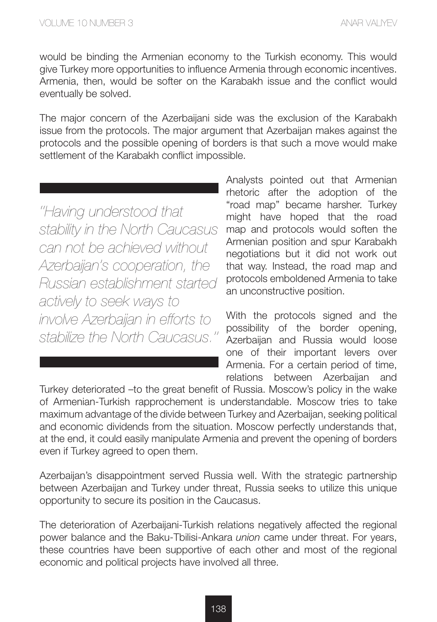would be binding the Armenian economy to the Turkish economy. This would give Turkey more opportunities to influence Armenia through economic incentives. Armenia, then, would be softer on the Karabakh issue and the conflict would eventually be solved.

The major concern of the Azerbaijani side was the exclusion of the Karabakh issue from the protocols. The major argument that Azerbaijan makes against the protocols and the possible opening of borders is that such a move would make settlement of the Karabakh conflict impossible.

*''Having understood that stability in the North Caucasus can not be achieved without Azerbaijan's cooperation, the Russian establishment started actively to seek ways to involve Azerbaijan in efforts to stabilize the North Caucasus.''* Analysts pointed out that Armenian rhetoric after the adoption of the "road map" became harsher. Turkey might have hoped that the road map and protocols would soften the Armenian position and spur Karabakh negotiations but it did not work out that way. Instead, the road map and protocols emboldened Armenia to take an unconstructive position.

With the protocols signed and the possibility of the border opening, Azerbaijan and Russia would loose one of their important levers over Armenia. For a certain period of time, relations between Azerbaijan and

Turkey deteriorated –to the great benefit of Russia. Moscow's policy in the wake of Armenian-Turkish rapprochement is understandable. Moscow tries to take maximum advantage of the divide between Turkey and Azerbaijan, seeking political and economic dividends from the situation. Moscow perfectly understands that, at the end, it could easily manipulate Armenia and prevent the opening of borders even if Turkey agreed to open them.

Azerbaijan's disappointment served Russia well. With the strategic partnership between Azerbaijan and Turkey under threat, Russia seeks to utilize this unique opportunity to secure its position in the Caucasus.

The deterioration of Azerbaijani-Turkish relations negatively affected the regional power balance and the Baku-Tbilisi-Ankara *union* came under threat. For years, these countries have been supportive of each other and most of the regional economic and political projects have involved all three.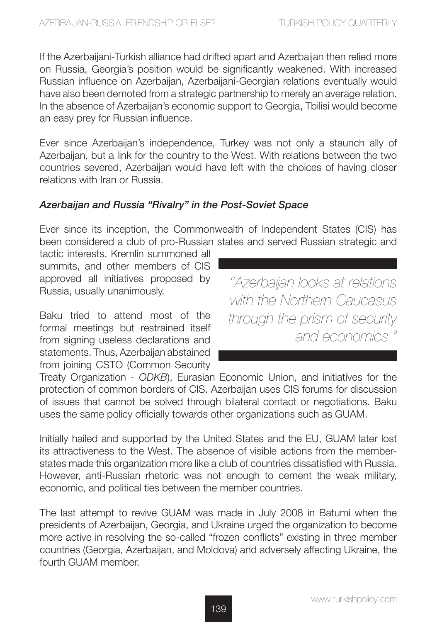If the Azerbaijani-Turkish alliance had drifted apart and Azerbaijan then relied more on Russia, Georgia's position would be significantly weakened. With increased Russian influence on Azerbaijan, Azerbaijani-Georgian relations eventually would have also been demoted from a strategic partnership to merely an average relation. In the absence of Azerbaijan's economic support to Georgia, Tbilisi would become an easy prey for Russian influence.

Ever since Azerbaijan's independence, Turkey was not only a staunch ally of Azerbaijan, but a link for the country to the West. With relations between the two countries severed, Azerbaijan would have left with the choices of having closer relations with Iran or Russia.

### *Azerbaijan and Russia "Rivalry" in the Post-Soviet Space*

Ever since its inception, the Commonwealth of Independent States (CIS) has been considered a club of pro-Russian states and served Russian strategic and

tactic interests. Kremlin summoned all summits, and other members of CIS approved all initiatives proposed by Russia, usually unanimously.

Baku tried to attend most of the formal meetings but restrained itself from signing useless declarations and statements. Thus, Azerbaijan abstained from joining CSTO (Common Security

*''Azerbaijan looks at relations with the Northern Caucasus through the prism of security and economics."*

Treaty Organization - *ODKB*), Eurasian Economic Union, and initiatives for the protection of common borders of CIS. Azerbaijan uses CIS forums for discussion of issues that cannot be solved through bilateral contact or negotiations. Baku uses the same policy officially towards other organizations such as GUAM.

Initially hailed and supported by the United States and the EU, GUAM later lost its attractiveness to the West. The absence of visible actions from the memberstates made this organization more like a club of countries dissatisfied with Russia. However, anti-Russian rhetoric was not enough to cement the weak military, economic, and political ties between the member countries.

The last attempt to revive GUAM was made in July 2008 in Batumi when the presidents of Azerbaijan, Georgia, and Ukraine urged the organization to become more active in resolving the so-called "frozen conflicts" existing in three member countries (Georgia, Azerbaijan, and Moldova) and adversely affecting Ukraine, the fourth GUAM member.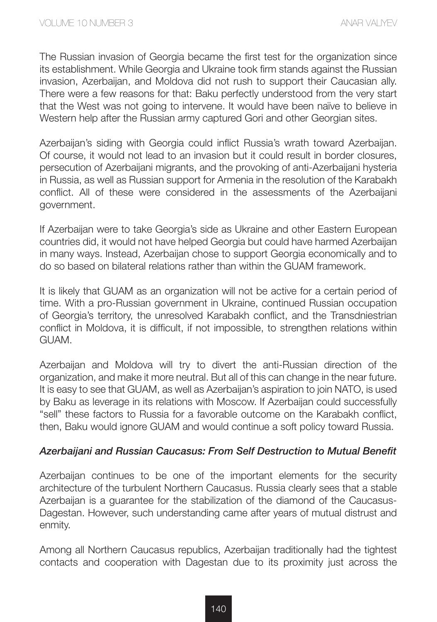The Russian invasion of Georgia became the first test for the organization since its establishment. While Georgia and Ukraine took firm stands against the Russian invasion, Azerbaijan, and Moldova did not rush to support their Caucasian ally. There were a few reasons for that: Baku perfectly understood from the very start that the West was not going to intervene. It would have been naïve to believe in Western help after the Russian army captured Gori and other Georgian sites.

Azerbaijan's siding with Georgia could inflict Russia's wrath toward Azerbaijan. Of course, it would not lead to an invasion but it could result in border closures, persecution of Azerbaijani migrants, and the provoking of anti-Azerbaijani hysteria in Russia, as well as Russian support for Armenia in the resolution of the Karabakh conflict. All of these were considered in the assessments of the Azerbaijani government.

If Azerbaijan were to take Georgia's side as Ukraine and other Eastern European countries did, it would not have helped Georgia but could have harmed Azerbaijan in many ways. Instead, Azerbaijan chose to support Georgia economically and to do so based on bilateral relations rather than within the GUAM framework.

It is likely that GUAM as an organization will not be active for a certain period of time. With a pro-Russian government in Ukraine, continued Russian occupation of Georgia's territory, the unresolved Karabakh conflict, and the Transdniestrian conflict in Moldova, it is difficult, if not impossible, to strengthen relations within GUAM.

Azerbaijan and Moldova will try to divert the anti-Russian direction of the organization, and make it more neutral. But all of this can change in the near future. It is easy to see that GUAM, as well as Azerbaijan's aspiration to join NATO, is used by Baku as leverage in its relations with Moscow. If Azerbaijan could successfully "sell" these factors to Russia for a favorable outcome on the Karabakh conflict, then, Baku would ignore GUAM and would continue a soft policy toward Russia.

#### *Azerbaijani and Russian Caucasus: From Self Destruction to Mutual Benefit*

Azerbaijan continues to be one of the important elements for the security architecture of the turbulent Northern Caucasus. Russia clearly sees that a stable Azerbaijan is a guarantee for the stabilization of the diamond of the Caucasus-Dagestan. However, such understanding came after years of mutual distrust and enmity.

Among all Northern Caucasus republics, Azerbaijan traditionally had the tightest contacts and cooperation with Dagestan due to its proximity just across the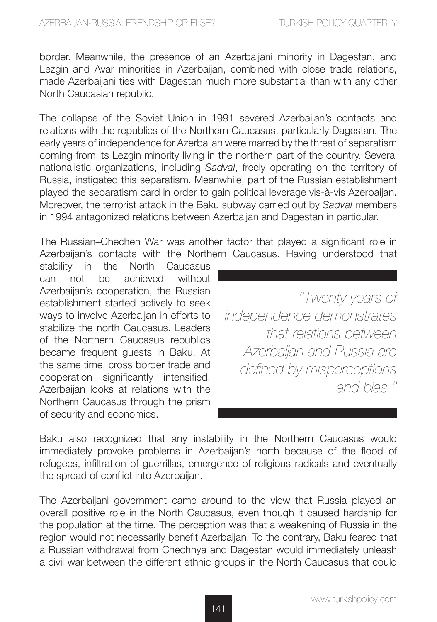border. Meanwhile, the presence of an Azerbaijani minority in Dagestan, and Lezgin and Avar minorities in Azerbaijan, combined with close trade relations, made Azerbaijani ties with Dagestan much more substantial than with any other North Caucasian republic.

The collapse of the Soviet Union in 1991 severed Azerbaijan's contacts and relations with the republics of the Northern Caucasus, particularly Dagestan. The early years of independence for Azerbaijan were marred by the threat of separatism coming from its Lezgin minority living in the northern part of the country. Several nationalistic organizations, including *Sadval*, freely operating on the territory of Russia, instigated this separatism. Meanwhile, part of the Russian establishment played the separatism card in order to gain political leverage vis-à-vis Azerbaijan. Moreover, the terrorist attack in the Baku subway carried out by *Sadval* members in 1994 antagonized relations between Azerbaijan and Dagestan in particular.

The Russian–Chechen War was another factor that played a significant role in Azerbaijan's contacts with the Northern Caucasus. Having understood that

stability in the North Caucasus can not be achieved without Azerbaijan's cooperation, the Russian establishment started actively to seek ways to involve Azerbaijan in efforts to stabilize the north Caucasus. Leaders of the Northern Caucasus republics became frequent guests in Baku. At the same time, cross border trade and cooperation significantly intensified. Azerbaijan looks at relations with the Northern Caucasus through the prism of security and economics.

*''Twenty years of independence demonstrates that relations between Azerbaijan and Russia are defined by misperceptions and bias.''* 

Baku also recognized that any instability in the Northern Caucasus would immediately provoke problems in Azerbaijan's north because of the flood of refugees, infiltration of guerrillas, emergence of religious radicals and eventually the spread of conflict into Azerbaijan.

The Azerbaijani government came around to the view that Russia played an overall positive role in the North Caucasus, even though it caused hardship for the population at the time. The perception was that a weakening of Russia in the region would not necessarily benefit Azerbaijan. To the contrary, Baku feared that a Russian withdrawal from Chechnya and Dagestan would immediately unleash a civil war between the different ethnic groups in the North Caucasus that could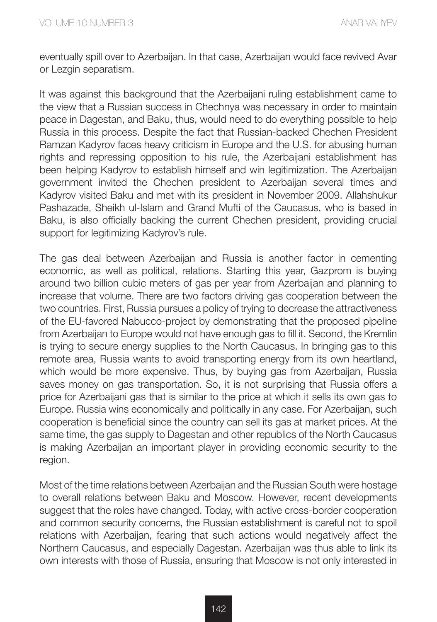eventually spill over to Azerbaijan. In that case, Azerbaijan would face revived Avar or Lezgin separatism.

It was against this background that the Azerbaijani ruling establishment came to the view that a Russian success in Chechnya was necessary in order to maintain peace in Dagestan, and Baku, thus, would need to do everything possible to help Russia in this process. Despite the fact that Russian-backed Chechen President Ramzan Kadyrov faces heavy criticism in Europe and the U.S. for abusing human rights and repressing opposition to his rule, the Azerbaijani establishment has been helping Kadyrov to establish himself and win legitimization. The Azerbaijan government invited the Chechen president to Azerbaijan several times and Kadyrov visited Baku and met with its president in November 2009. Allahshukur Pashazade, Sheikh ul-Islam and Grand Mufti of the Caucasus, who is based in Baku, is also officially backing the current Chechen president, providing crucial support for legitimizing Kadyrov's rule.

The gas deal between Azerbaijan and Russia is another factor in cementing economic, as well as political, relations. Starting this year, Gazprom is buying around two billion cubic meters of gas per year from Azerbaijan and planning to increase that volume. There are two factors driving gas cooperation between the two countries. First, Russia pursues a policy of trying to decrease the attractiveness of the EU-favored Nabucco-project by demonstrating that the proposed pipeline from Azerbaijan to Europe would not have enough gas to fill it. Second, the Kremlin is trying to secure energy supplies to the North Caucasus. In bringing gas to this remote area, Russia wants to avoid transporting energy from its own heartland, which would be more expensive. Thus, by buying gas from Azerbaijan, Russia saves money on gas transportation. So, it is not surprising that Russia offers a price for Azerbaijani gas that is similar to the price at which it sells its own gas to Europe. Russia wins economically and politically in any case. For Azerbaijan, such cooperation is beneficial since the country can sell its gas at market prices. At the same time, the gas supply to Dagestan and other republics of the North Caucasus is making Azerbaijan an important player in providing economic security to the region.

Most of the time relations between Azerbaijan and the Russian South were hostage to overall relations between Baku and Moscow. However, recent developments suggest that the roles have changed. Today, with active cross-border cooperation and common security concerns, the Russian establishment is careful not to spoil relations with Azerbaijan, fearing that such actions would negatively affect the Northern Caucasus, and especially Dagestan. Azerbaijan was thus able to link its own interests with those of Russia, ensuring that Moscow is not only interested in